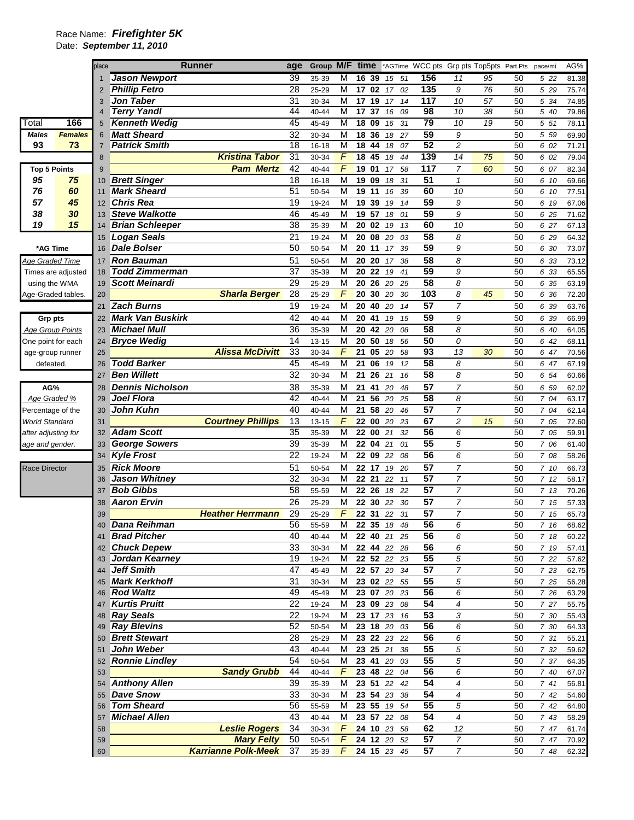## Race Name: *Firefighter 5K*

Date: *September 11, 2010* 

|                                        |                         | place          |                                            | <b>Runner</b>              | age                   | Group M/F          |                         | time                               |             |                            |          |                  | *AGTime WCC pts Grp pts Top5pts Part.Pts |    |          | pace/mi      | AG%            |
|----------------------------------------|-------------------------|----------------|--------------------------------------------|----------------------------|-----------------------|--------------------|-------------------------|------------------------------------|-------------|----------------------------|----------|------------------|------------------------------------------|----|----------|--------------|----------------|
|                                        |                         |                | <b>Jason Newport</b>                       |                            | 39                    | 35-39              | M                       | 16                                 | 39          | 15                         | 51       | 156              | 11                                       | 95 | 50       | 5 22         | 81.38          |
|                                        |                         | 2              | <b>Phillip Fetro</b>                       |                            | 28                    | 25-29              | M                       | 17                                 | 02          | 17                         | 02       | $\overline{135}$ | 9                                        | 76 | 50       | 5 29         | 75.74          |
|                                        |                         | 3              | <b>Jon Taber</b>                           |                            | 31                    | 30-34              | M                       |                                    | 17 19       | 17                         | 14       | 117              | 10                                       | 57 | 50       | 5 34         | 74.85          |
|                                        |                         | $\overline{4}$ | <b>Terry Yandl</b>                         |                            | 44                    | 40-44              | M                       |                                    | 17 37       | 16                         | 09       | 98               | 10                                       | 38 | 50       | 5 40         | 79.86          |
| Total                                  | 166                     | 5              | <b>Kenneth Wedig</b>                       |                            | 45                    | 45-49              | M                       |                                    | 18 09       | 16                         | 31       | 79               | 10                                       | 19 | 50       | 5 51         | 78.11          |
| <b>Males</b>                           | <b>Females</b>          | 6              | <b>Matt Sheard</b>                         |                            | 32                    | 30-34              | M                       |                                    | 18 36       | 18                         | 27       | 59<br>52         | 9                                        |    | 50       | 5 5 9        | 69.90          |
| 93                                     | 73                      | 7              | <b>Patrick Smith</b>                       | <b>Kristina Tabor</b>      | $\overline{18}$<br>31 | $16 - 18$<br>30-34 | M<br>F                  | $\overline{18}$<br>$\overline{18}$ | 44<br>45    | 18<br>18                   | 07<br>44 | 139              | $\overline{2}$<br>14                     | 75 | 50<br>50 | 6 02<br>6 02 | 71.21<br>79.04 |
|                                        |                         | 8              |                                            | <b>Pam Mertz</b>           | 42                    |                    | $\sqrt{2}$              |                                    | 19 01       |                            |          | 117              | $\overline{7}$                           |    |          |              |                |
| <b>Top 5 Points</b><br>95              | 75                      | 9<br>10        | <b>Brett Singer</b>                        |                            | 18                    | 40-44<br>16-18     | M                       |                                    | 19 09       | 17<br>18                   | 58<br>31 | 51               | $\mathcal I$                             | 60 | 50<br>50 | 6 07<br>6 10 | 82.34<br>69.66 |
| 76                                     | 60                      | 11             | <b>Mark Sheard</b>                         |                            | 51                    | 50-54              | M                       |                                    | 19 11       | 16                         | 39       | 60               | 10                                       |    | 50       | 6 10         | 77.51          |
| 57                                     | 45                      | 12             | Chris Rea                                  |                            | 19                    | 19-24              | M                       |                                    | 19 39       | 19                         | 14       | 59               | 9                                        |    | 50       | 6 19         | 67.06          |
| 38                                     | 30                      | 13             | <b>Steve Walkotte</b>                      |                            | 46                    | 45-49              | M                       | 19                                 | 57          | 18                         | 01       | 59               | 9                                        |    | 50       | 6 25         | 71.62          |
| 19                                     | 15                      | 14             | <b>Brian Schleeper</b>                     |                            | 38                    | 35-39              | M                       |                                    | 20 02       | 19                         | 13       | 60               | 10                                       |    | 50       | 6 27         | 67.13          |
|                                        |                         | 15             | Logan Seals                                |                            | 21                    | 19-24              | M                       |                                    | 20 08       | 20                         | 03       | $\overline{58}$  | 8                                        |    | 50       | 6 29         | 64.32          |
| *AG Time                               |                         | 16             | <b>Dale Bolser</b>                         |                            | 50                    | 50-54              | M                       |                                    | 20 11       | 17                         | 39       | 59               | 9                                        |    | 50       | 6 30         | 73.07          |
| <b>Age Graded Time</b>                 |                         | 17             | <b>Ron Bauman</b>                          |                            | 51                    | 50-54              | M                       |                                    | 20 20       | 17                         | 38       | $\overline{58}$  | 8                                        |    | 50       | 6 33         | 73.12          |
|                                        | Times are adjusted      | 18             | <b>Todd Zimmerman</b>                      |                            | $\overline{37}$       | 35-39              | M                       |                                    | 20 22 19    |                            | 41       | 59               | 9                                        |    | 50       | 6 33         | 65.55          |
| using the WMA                          |                         | 19             | <b>Scott Meinardi</b>                      |                            | 29                    | 25-29              | M                       |                                    | 20 26       | 20                         | 25       | 58               | 8                                        |    | 50       | 6 35         | 63.19          |
| Age-Graded tables.                     |                         | 20             |                                            | <b>Sharla Berger</b>       | 28                    | 25-29              | F                       | 20                                 | 30          | 20                         | 30       | 103              | 8                                        | 45 | 50       | 6 36         | 72.20          |
|                                        |                         | 21             | <b>Zach Burns</b>                          |                            | 19                    | 19-24              | M                       |                                    | 20 40       | 20                         | 14       | $\overline{57}$  | $\overline{7}$                           |    | 50       | 6 39         | 63.76          |
| <b>Grp pts</b>                         |                         | 22             | <b>Mark Van Buskirk</b>                    |                            | 42                    | 40-44              | M                       |                                    | 20 41       | 19                         | 15       | 59               | 9                                        |    | 50       | 6 39         | 66.99          |
|                                        | <b>Age Group Points</b> | 23             | <b>Michael Mull</b>                        |                            | 36                    | 35-39              | M                       |                                    | 20 42       | 20                         | 08       | $\overline{58}$  | 8                                        |    | 50       | 6 40         | 64.05          |
| One point for each                     |                         | 24             | <b>Bryce Wedig</b>                         |                            | 14                    | 13-15              | M                       |                                    | 20 50       | 18                         | 56       | 50               | 0                                        |    | 50       | 6 42         | 68.11          |
| age-group runner                       |                         | 25             |                                            | <b>Alissa McDivitt</b>     | 33                    | 30-34              | F                       | 21                                 | 05          | 20                         | 58       | $\overline{93}$  | 13                                       | 30 | 50       | 6 47         | 70.56          |
| defeated.                              |                         | 26             | <b>Todd Barker</b>                         |                            | 45                    | 45-49              | M                       | 21                                 | 06          | 19                         | 12       | 58               | 8                                        |    | 50       | 6 47         | 67.19          |
|                                        |                         | 27             | <b>Ben Willett</b>                         |                            | 32                    | 30-34              | M                       | 21                                 | 26          | 21                         | 16       | 58               | 8                                        |    | 50       | 6 54         | 60.66          |
| AG%                                    |                         | 28             | <b>Dennis Nicholson</b>                    |                            | 38                    | 35-39              | M                       | 21                                 | 41          | 20                         | 48       | $\overline{57}$  | $\overline{7}$                           |    | 50       | 6 59         | 62.02          |
| Age Graded %                           |                         | 29             | Joel Flora                                 |                            | 42                    | 40-44              | M                       | 21                                 | 56          | 20                         | 25       | $\overline{58}$  | 8                                        |    | 50       | 7 04         | 63.17          |
| Percentage of the                      |                         | 30             | <b>John Kuhn</b>                           |                            | 40<br>13              | 40-44              | M<br>F                  | 21                                 | 58<br>22 00 | 20                         | 46       | 57<br>67         | $\overline{7}$                           |    | 50       | 7 04         | 62.14          |
| <b>World Standard</b>                  |                         | 31<br>32       | <b>Adam Scott</b>                          | <b>Courtney Phillips</b>   | 35                    | $13 - 15$<br>35-39 | M                       |                                    | 22 00       | 20<br>21                   | 23<br>32 | $\overline{56}$  | $\overline{c}$<br>6                      | 15 | 50<br>50 | 7 05<br>7 05 | 72.60<br>59.91 |
| after adjusting for<br>age and gender. |                         | 33             | <b>George Sowers</b>                       |                            | 39                    | 35-39              | M                       | 22                                 | 04          | 21                         | 01       | $\overline{55}$  | 5                                        |    | 50       | 7 06         | 61.40          |
|                                        |                         | 34             | <b>Kyle Frost</b>                          |                            | 22                    | 19-24              | M                       |                                    | 22 09       | 22                         | 08       | 56               | 6                                        |    | 50       | 7 08         | 58.26          |
| Race Director                          |                         | 35             | <b>Rick Moore</b>                          |                            | 51                    | 50-54              | M                       |                                    | 22 17       | 19                         | 20       | 57               | $\overline{7}$                           |    | 50       | 7 10         | 66.73          |
|                                        |                         | 36             | <b>Jason Whitney</b>                       |                            | 32                    | 30-34              | M                       |                                    | 22 21       | 22                         | 11       | 57               | $\overline{7}$                           |    | 50       | 712          | 58.17          |
|                                        |                         | 37             | <b>Bob Gibbs</b>                           |                            | 58                    | 55-59              | M                       |                                    | 22 26       | 18                         | 22       | 57               | 7                                        |    | 50       | 7 13         | 70.26          |
|                                        |                         | 38             | <b>Aaron Ervin</b>                         |                            | 26                    | 25-29              | M                       |                                    | 22 30       | 22                         | 30       | 57               | 7                                        |    | 50       | 7 15         | 57.33          |
|                                        |                         | 39             |                                            | <b>Heather Herrmann</b>    | 29                    | 25-29              | F                       |                                    | 22 31       | 22                         | 31       | $\overline{57}$  | $\overline{7}$                           |    | 50       | 7 15         | 65.73          |
|                                        |                         |                | 40 Dana Reihman                            |                            | $\overline{56}$       | 55-59              | $\overline{\mathsf{M}}$ |                                    |             | 22 35 18 48                |          | 56               | 6                                        |    | 50       | 7 16         | 68.62          |
|                                        |                         |                | 41 Brad Pitcher                            |                            | 40                    | 40-44              | м                       |                                    |             | 22 40 21 25                |          | 56               | 6                                        |    | 50       | 7 18         | 60.22          |
|                                        |                         |                | 42 Chuck Depew                             |                            | 33                    | 30-34              | м                       |                                    |             | 22 44 22 28                |          | 56               | 6                                        |    | 50       | 7 19         | 57.41          |
|                                        |                         | 43             | Jordan Kearney                             |                            | 19                    | 19-24              | M                       |                                    |             | 22 52 22 23                |          | 55               | 5                                        |    | 50       | 7 22         | 57.62          |
|                                        |                         | 44             | Jeff Smith                                 |                            | 47                    | 45-49              | М                       |                                    |             | 22 57 20 34                |          | 57               | $\overline{7}$                           |    | 50       | 7 23         | 62.75          |
|                                        |                         | 45             | <b>Mark Kerkhoff</b>                       |                            | 31                    | 30-34              | м                       |                                    |             | 23 02 22 55                |          | 55               | 5                                        |    | 50       | 7 25         | 56.28          |
|                                        |                         | 46             | <b>Rod Waltz</b>                           |                            | 49                    | 45-49              | М                       |                                    |             | 23 07 20 23                |          | $\overline{56}$  | 6                                        |    | 50       | 7 26         | 63.29          |
|                                        |                         | 47             | <b>Kurtis Pruitt</b>                       |                            | 22                    | 19-24              | M                       |                                    |             | 23 09 23 08                |          | $\overline{54}$  | $\overline{4}$                           |    | 50       | 7 27         | 55.75          |
|                                        |                         | 48             | <b>Ray Seals</b>                           |                            | 22                    | 19-24              | Μ                       |                                    |             | 23 17 23 16                |          | 53               | 3                                        |    | 50       | 7 30         | 55.43          |
|                                        |                         | 49             | <b>Ray Blevins</b><br><b>Brett Stewart</b> |                            | 52<br>28              | 50-54<br>25-29     | М<br>M                  |                                    |             | 23 18 20 03<br>23 22 23 22 |          | 56<br>56         | 6<br>6                                   |    | 50<br>50 | 7 30<br>7 31 | 64.33          |
|                                        |                         | 50<br>51       | <b>John Weber</b>                          |                            | 43                    | 40-44              | M                       |                                    | 23 25 21    |                            | 38       | 55               | 5                                        |    | 50       | 7 32         | 55.21<br>59.62 |
|                                        |                         | 52             | <b>Ronnie Lindley</b>                      |                            | 54                    | 50-54              | M                       |                                    |             | 23 41 20 03                |          | 55               | 5                                        |    | 50       | 7 37         | 64.35          |
|                                        |                         | 53             |                                            | <b>Sandy Grubb</b>         | 44                    | 40-44              | $\sqrt{2}$              |                                    |             | 23 48 22 04                |          | $\overline{56}$  | 6                                        |    | 50       | 7 40         | 67.07          |
|                                        |                         | 54             | <b>Anthony Allen</b>                       |                            | 39                    | 35-39              | м                       |                                    |             | 23 51 22 42                |          | 54               | 4                                        |    | 50       | 741          | 56.81          |
|                                        |                         | 55             | <b>Dave Snow</b>                           |                            | 33                    | 30-34              | М                       |                                    |             | 23 54 23 38                |          | 54               | 4                                        |    | 50       | 742          | 54.60          |
|                                        |                         | 56             | <b>Tom Sheard</b>                          |                            | 56                    | 55-59              | M                       |                                    |             | 23 55 19 54                |          | $\overline{55}$  | 5                                        |    | 50       | 7 42         | 64.80          |
|                                        |                         | 57             | <b>Michael Allen</b>                       |                            | 43                    | 40-44              | М                       |                                    | 23 57 22    |                            | 08       | $\overline{54}$  | $\overline{4}$                           |    | 50       | 7 43         | 58.29          |
|                                        |                         | 58             |                                            | <b>Leslie Rogers</b>       | 34                    | 30-34              | $\sqrt{2}$              |                                    |             | 24 10 23 58                |          | 62               | 12                                       |    | 50       | 7 47         | 61.74          |
|                                        |                         | 59             |                                            | <b>Mary Felty</b>          | 50                    | 50-54              | F                       |                                    |             | 24 12 20 52                |          | 57               | $\boldsymbol{7}$                         |    | 50       | 7 47         | 70.92          |
|                                        |                         | 60             |                                            | <b>Karrianne Polk-Meek</b> | 37                    | 35-39              | $\mathcal{F}$           |                                    |             | 24 15 23 45                |          | 57               | $\overline{7}$                           |    | 50       | 7 48         | 62.32          |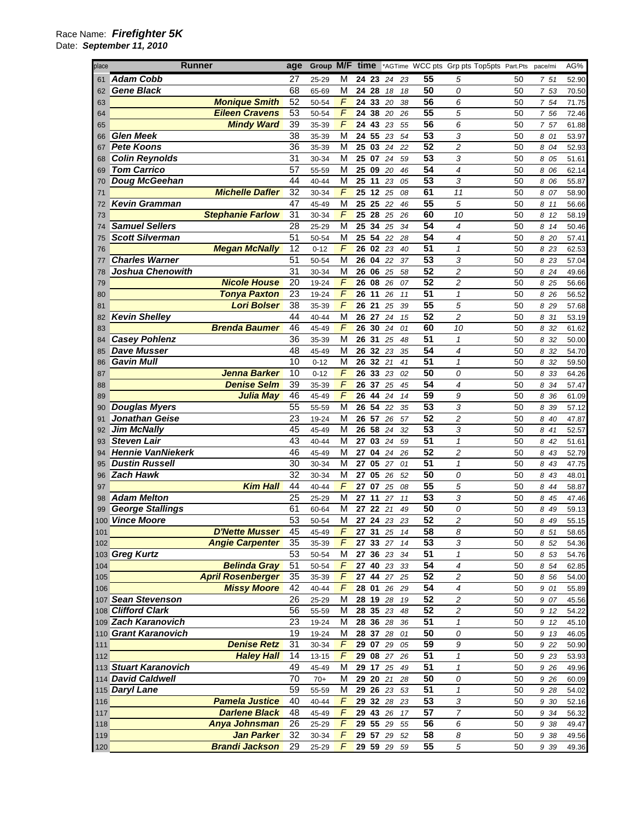| place | Runner                   |                          | age             |          |                |                 |       |    |     |                 | Group M/F time *AGTime WCC pts Grp pts Top5pts Part.Pts |    | pace/mi | AG%   |
|-------|--------------------------|--------------------------|-----------------|----------|----------------|-----------------|-------|----|-----|-----------------|---------------------------------------------------------|----|---------|-------|
| 61    | <b>Adam Cobb</b>         |                          | 27              | 25-29    | M              | 24 23           |       | 24 | 23  | 55              | 5                                                       | 50 | 7 51    | 52.90 |
| 62    | <b>Gene Black</b>        |                          | 68              | 65-69    | M              | 24 28           |       | 18 | 18  | 50              | 0                                                       | 50 | 7 53    | 70.50 |
| 63    |                          | <b>Monique Smith</b>     | 52              | 50-54    | F              | 24 33           |       | 20 | 38  | 56              | 6                                                       | 50 | 7 54    | 71.75 |
| 64    |                          | <b>Eileen Cravens</b>    | 53              | 50-54    | F              | 24              | 38    | 20 | 26  | 55              | 5                                                       | 50 | 7 56    | 72.46 |
| 65    |                          | <b>Mindy Ward</b>        | 39              | 35-39    | F              | 24 43 23        |       |    | 55  | $\overline{56}$ | 6                                                       | 50 | 7 57    | 61.88 |
| 66    | <b>Glen Meek</b>         |                          | 38              | 35-39    | M              | 24              | 55    | 23 | 54  | $\overline{53}$ | 3                                                       | 50 | 8 01    | 53.97 |
| 67    | <b>Pete Koons</b>        |                          | 36              | 35-39    | M              | 25              | 03    | 24 | 22  | 52              | $\overline{c}$                                          | 50 | 8 04    | 52.93 |
|       | <b>Colin Reynolds</b>    |                          | 31              |          | M              | 25 07 24        |       |    |     | $\overline{53}$ | 3                                                       | 50 |         |       |
| 68    | <b>Tom Carrico</b>       |                          | 57              | 30-34    | М              |                 |       |    | 59  | 54              | 4                                                       |    | 8 0 5   | 51.61 |
| 69    |                          |                          |                 | 55-59    |                | 25 09           |       | 20 | 46  | 53              |                                                         | 50 | 8 06    | 62.14 |
| 70    | <b>Doug McGeehan</b>     |                          | 44              | 40-44    | М              | 25              | 11    | 23 | 05  |                 | 3                                                       | 50 | 8 06    | 55.87 |
| 71    |                          | <b>Michelle Dafler</b>   | 32              | 30-34    | F              | 25              | 12    | 25 | 08  | 61              | 11                                                      | 50 | 8 07    | 58.90 |
| 72    | <b>Kevin Gramman</b>     |                          | 47              | 45-49    | M              | 25 25           |       | 22 | 46  | $\overline{55}$ | 5                                                       | 50 | 8 11    | 56.66 |
| 73    |                          | <b>Stephanie Farlow</b>  | 31              | 30-34    | F              | 25 28           |       | 25 | 26  | 60              | 10                                                      | 50 | 8 12    | 58.19 |
| 74    | <b>Samuel Sellers</b>    |                          | 28              | 25-29    | M              | 25              | 34    | 25 | 34  | 54              | 4                                                       | 50 | 8 14    | 50.46 |
| 75    | <b>Scott Silverman</b>   |                          | 51              | 50-54    | М              | 25              | 54    | 22 | 28  | 54              | 4                                                       | 50 | 8 20    | 57.41 |
| 76    |                          | <b>Megan McNally</b>     | 12              | $0 - 12$ | F              | 26              | 02 23 |    | 40  | $\overline{51}$ | $\mathbf{1}$                                            | 50 | 8 2 3   | 62.53 |
| 77    | <b>Charles Warner</b>    |                          | 51              | 50-54    | M              | 26              | 04    | 22 | 37  | 53              | 3                                                       | 50 | 8 23    | 57.04 |
| 78    | <b>Joshua Chenowith</b>  |                          | 31              | 30-34    | M              | 26              | 06    | 25 | 58  | 52              | $\overline{c}$                                          | 50 | 8 24    | 49.66 |
| 79    |                          | <b>Nicole House</b>      | 20              | 19-24    | $\overline{F}$ | 26 08           |       | 26 | 07  | 52              | $\overline{c}$                                          | 50 | 8 25    | 56.66 |
| 80    |                          | <b>Tonya Paxton</b>      | 23              | 19-24    | F              | 26              | 11    | 26 | 11  | 51              | $\mathcal I$                                            | 50 | 8 26    | 56.52 |
| 81    |                          | <b>Lori Bolser</b>       | 38              | 35-39    | F              | 26 21           |       | 25 | 39  | 55              | 5                                                       | 50 | 8 2 9   | 57.68 |
| 82    | <b>Kevin Shelley</b>     |                          | 44              | 40-44    | M              | 26 27           |       | 24 | 15  | $\overline{52}$ | $\overline{c}$                                          | 50 | 8 31    | 53.19 |
| 83    |                          | <b>Brenda Baumer</b>     | 46              | 45-49    | F              | 26 30           |       | 24 | 01  | 60              | 10                                                      | 50 | 8 32    | 61.62 |
| 84    | <b>Casey Pohlenz</b>     |                          | 36              | 35-39    | M              | 26 31           |       | 25 | 48  | 51              | $\mathbf{1}$                                            | 50 | 8 32    | 50.00 |
| 85    | <b>Dave Musser</b>       |                          | 48              | 45-49    | M              | 26 32 23        |       |    | 35  | 54              | 4                                                       | 50 | 8 3 2   | 54.70 |
| 86    | <b>Gavin Mull</b>        |                          | 10              | $0 - 12$ | M              | 26              | 32    | 21 | 41  | 51              | 1                                                       | 50 | 8 32    | 59.50 |
| 87    |                          | <b>Jenna Barker</b>      | 10              | $0 - 12$ | F              | 26 33           |       | 23 | 02  | 50              | 0                                                       | 50 | 8 33    | 64.26 |
| 88    |                          | <b>Denise Selm</b>       | 39              | 35-39    | F              | 26 37           |       | 25 | 45  | 54              | 4                                                       | 50 | 8 34    | 57.47 |
| 89    |                          | Julia May                | 46              | 45-49    | F              | 26              | 44    | 24 | 14  | 59              | 9                                                       | 50 | 8 36    | 61.09 |
| 90    | <b>Douglas Myers</b>     |                          | 55              | 55-59    | M              | 26 54 22        |       |    | 35  | $\overline{53}$ | 3                                                       | 50 | 8 39    | 57.12 |
| 91    | Jonathan Geise           |                          | 23              | 19-24    | M              | 26 57           |       | 26 | 57  | $\overline{52}$ | $\overline{c}$                                          | 50 | 8 40    | 47.87 |
| 92    | <b>Jim McNally</b>       |                          | 45              | 45-49    | M              | 26 58           |       | 24 | 32  | 53              | 3                                                       | 50 | 8 41    | 52.57 |
|       | <b>Steven Lair</b>       |                          | 43              | 40-44    | M              | 27              | 03    | 24 | 59  | $\overline{51}$ | $\mathbf{1}$                                            | 50 | 8 42    |       |
| 93    | <b>Hennie VanNiekerk</b> |                          | 46              |          | М              | 27              | 04    |    |     | 52              | $\overline{c}$                                          |    |         | 51.61 |
| 94    | <b>Dustin Russell</b>    |                          | 30              | 45-49    | M              |                 | 05    | 24 | 26  | $\overline{51}$ | $\mathcal I$                                            | 50 | 8 43    | 52.79 |
| 95    |                          |                          | $\overline{32}$ | 30-34    |                | 27              |       | 27 | 01  | $\overline{50}$ |                                                         | 50 | 8 43    | 47.75 |
| 96    | <b>Zach Hawk</b>         |                          |                 | 30-34    | M              | 27              | 05    | 26 | 52  |                 | 0                                                       | 50 | 8 43    | 48.01 |
| 97    |                          | <b>Kim Hall</b>          | 44              | 40-44    | F              | 27              | 07    | 25 | 08  | 55              | 5                                                       | 50 | 8 4 4   | 58.87 |
| 98    | <b>Adam Melton</b>       |                          | 25              | 25-29    | М              | 27 11           |       | 27 | 11  | 53              | 3                                                       | 50 | 8 45    | 47.46 |
| 99    | <b>George Stallings</b>  |                          | 61              | 60-64    | M              | 27              | 22    | 21 | 49  | $\overline{50}$ | 0                                                       | 50 | 8 49    | 59.13 |
|       | 100 Vince Moore          |                          | 53              | 50-54    | M              | 27              | 24    | 23 | 23  | $\overline{52}$ | $\overline{c}$                                          | 50 | 8 49    | 55.15 |
| 101   |                          | <b>D'Nette Musser</b>    | 45              | 45-49    | F              | 27 31 25        |       |    | -14 | 58              | 8                                                       | 50 | 8 51    | 58.65 |
| 102   |                          | <b>Angie Carpenter</b>   | 35              | 35-39    | F              | 27 33 27        |       |    | 14  | 53              | 3                                                       | 50 | 8 52    | 54.36 |
|       | 103 Greg Kurtz           |                          | 53              | 50-54    | М              | 27 36 23        |       |    | 34  | 51              | 1                                                       | 50 | 8 53    | 54.76 |
| 104   |                          | <b>Belinda Gray</b>      | $\overline{51}$ | 50-54    | F              | 27 40 23        |       |    | 33  | 54              | 4                                                       | 50 | 8 54    | 62.85 |
| 105   |                          | <b>April Rosenberger</b> | 35              | 35-39    | F              | 27 44           |       | 27 | 25  | $\overline{52}$ | 2                                                       | 50 | 8 56    | 54.00 |
| 106   |                          | <b>Missy Moore</b>       | 42              | 40-44    | F              | 28 01           |       | 26 | 29  | 54              | 4                                                       | 50 | 9 01    | 55.89 |
|       | 107 Sean Stevenson       |                          | 26              | 25-29    | M              | 28 19 28        |       |    | 19  | 52              | 2                                                       | 50 | 9 07    | 45.56 |
|       | 108 Clifford Clark       |                          | 56              | 55-59    | М              | 28 35 23        |       |    | 48  | 52              | 2                                                       | 50 | 9 12    | 54.22 |
|       | 109 Zach Karanovich      |                          | 23              | 19-24    | М              | 28 36 28        |       |    | 36  | 51              | $\mathbf{1}$                                            | 50 | 9 12    | 45.10 |
|       | 110 Grant Karanovich     |                          | 19              | 19-24    | М              | 28 37 28        |       |    | 01  | $\overline{50}$ | 0                                                       | 50 | 9 13    | 46.05 |
| 111   |                          | <b>Denise Retz</b>       | $\overline{31}$ | 30-34    | F              | 29 07           |       | 29 | 05  | 59              | 9                                                       | 50 | 9 22    | 50.90 |
| 112   |                          | <b>Haley Hall</b>        | 14              | 13-15    | F              | 29 08 27        |       |    | 26  | 51              | $\mathbf{1}$                                            | 50 | 9 23    | 53.93 |
|       | 113 Stuart Karanovich    |                          | 49              | 45-49    | M              | 29 17 25        |       |    | 49  | 51              | 1                                                       | 50 | 9 26    | 49.96 |
|       | 114 David Caldwell       |                          | 70              | $70+$    | M              | 29 20 21        |       |    | 28  | 50              | 0                                                       | 50 | 9 26    | 60.09 |
|       | 115 Daryl Lane           |                          | 59              | 55-59    | M              | 29 26 23        |       |    | 53  | 51              | $\mathbf{1}$                                            | 50 | 9 28    | 54.02 |
| 116   |                          | <b>Pamela Justice</b>    | 40              | 40-44    | F              | 29 32 28        |       |    | 23  | 53              | 3                                                       | 50 | 9 30    | 52.16 |
| 117   |                          | <b>Darlene Black</b>     | 48              | 45-49    | F              | 29 43 26        |       |    | 17  | 57              | 7                                                       | 50 | 9 34    | 56.32 |
| 118   |                          | <b>Anya Johnsman</b>     | 26              | 25-29    | $\sqrt{2}$     | 29 55 29        |       |    | 55  | 56              | 6                                                       | 50 | 9 38    | 49.47 |
| 119   |                          | Jan Parker               | 32              | 30-34    | F              | 29 57 29        |       |    | 52  | 58              | 8                                                       | 50 | 9 38    | 49.56 |
| 120   |                          | <b>Brandi Jackson</b>    | 29              | 25-29    | F              | <b>29 59 29</b> |       |    | 59  | 55              | 5                                                       | 50 | 9 3 9   | 49.36 |